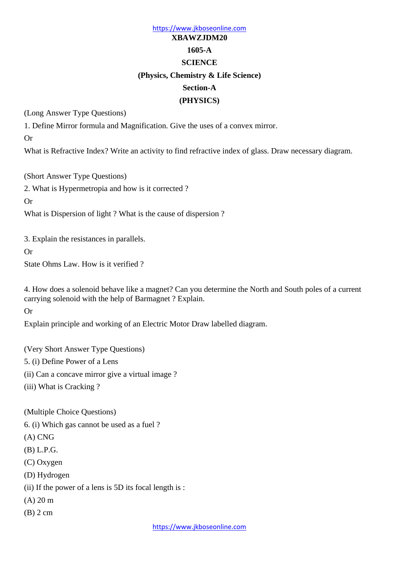# https://www.jkboseonline.com **XBAWZJDM20 1605-A SCIENCE (Physics, Chemistry & Life Science) Section-A (PHYSICS)**

(Long Answer Type Questions)

1. Define Mirror formula and Magnification. Give the uses of a convex mirror.

Or

What is Refractive Index? Write an activity to find refractive index of glass. Draw necessary diagram.

(Short Answer Type Questions)

2. What is Hypermetropia and how is it corrected ?

Or

What is Dispersion of light ? What is the cause of dispersion ?

3. Explain the resistances in parallels.

Or

State Ohms Law. How is it verified ?

4. How does a solenoid behave like a magnet? Can you determine the North and South poles of a current carrying solenoid with the help of Barmagnet ? Explain.

Or

Explain principle and working of an Electric Motor Draw labelled diagram.

(Very Short Answer Type Questions) 5. (i) Define Power of a Lens

(ii) Can a concave mirror give a virtual image ?

(iii) What is Cracking ?

(Multiple Choice Questions)

6. (i) Which gas cannot be used as a fuel ?

(A) CNG

(B) L.P.G.

(C) Oxygen

(D) Hydrogen

(ii) If the power of a lens is 5D its focal length is :

(A) 20 m

(B) 2 cm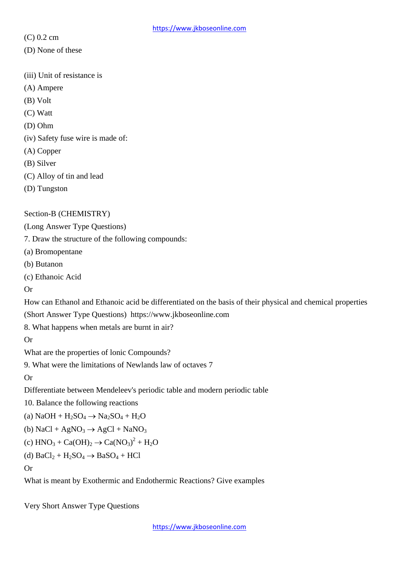(C) 0.2 cm

- (D) None of these
- (iii) Unit of resistance is
- (A) Ampere
- (B) Volt
- (C) Watt
- (D) Ohm
- (iv) Safety fuse wire is made of:
- (A) Copper
- (B) Silver
- (C) Alloy of tin and lead
- (D) Tungston

## Section-B (CHEMISTRY)

(Long Answer Type Questions)

7. Draw the structure of the following compounds:

- (a) Bromopentane
- (b) Butanon
- (c) Ethanoic Acid

Or

How can Ethanol and Ethanoic acid be differentiated on the basis of their physical and chemical properties (Short Answer Type Questions) https://www.jkboseonline.com

8. What happens when metals are burnt in air?

Or

What are the properties of lonic Compounds?

9. What were the limitations of Newlands law of octaves 7

Or

Differentiate between Mendeleev's periodic table and modern periodic table

10. Balance the following reactions

(a)  $NaOH + H_2SO_4 \rightarrow Na_2SO_4 + H_2O$ 

(b) NaCl + AgNO<sub>3</sub> 
$$
\rightarrow
$$
 AgCl + NaNO<sub>3</sub>

(c) 
$$
HNO_3 + Ca(OH)_2 \rightarrow Ca(NO_3)^2 + H_2O
$$

$$
(d)\ BaCl_2 + H_2SO_4 \rightarrow BaSO_4 + HCl
$$

# Or

What is meant by Exothermic and Endothermic Reactions? Give examples

Very Short Answer Type Questions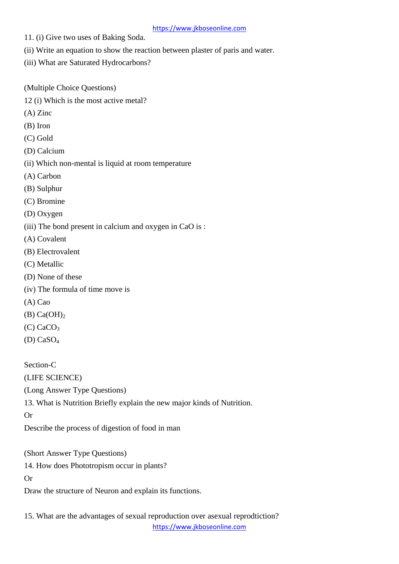#### https://www.jkboseonline.com

- 11. (i) Give two uses of Baking Soda.
- (ii) Write an equation to show the reaction between plaster of paris and water.
- (iii) What are Saturated Hydrocarbons?
- (Multiple Choice Questions)
- 12 (i) Which is the most active metal?
- (A) Zinc
- (B) Iron
- (C) Gold
- (D) Calcium
- (ii) Which non-mental is liquid at room temperature
- (A) Carbon
- (B) Sulphur
- (C) Bromine
- (D) Oxygen
- (iii) The bond present in calcium and oxygen in CaO is :
- (A) Covalent
- (B) Electrovalent
- (C) Metallic
- (D) None of these
- (iv) The formula of time move is
- (A) Cao
- $(B)$  Ca $(OH)_2$
- $(C)$  CaCO<sub>3</sub>
- (D) CaSO<sup>4</sup>

Section-C

(LIFE SCIENCE)

(Long Answer Type Questions)

13. What is Nutrition Briefly explain the new major kinds of Nutrition.

Or

Describe the process of digestion of food in man

(Short Answer Type Questions)

14. How does Phototropism occur in plants?

Or

Draw the structure of Neuron and explain its functions.

https://www.jkboseonline.com 15. What are the advantages of sexual reproduction over asexual reprodtiction?